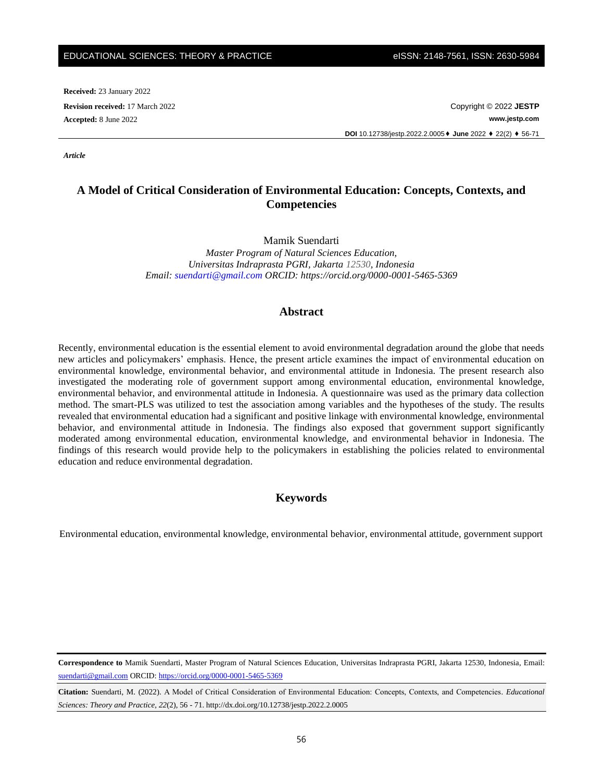**Received:** 23 January 2022

**Revision received:** 17 March 2022 Copyright © 2022 **JESTP Accepted:** 8 June 2022 **www.jestp.com DOI** 10.12738/jestp.2022.2.0005⬧ **June** 2022 ⬧ 22(2) ⬧ 56-71

*Article*

# **A Model of Critical Consideration of Environmental Education: Concepts, Contexts, and Competencies**

Mamik Suendarti

*Master Program of Natural Sciences Education, Universitas Indraprasta PGRI, Jakarta 12530, Indonesia Email: [suendarti@gmail.com](mailto:suendarti@gmail.com) ORCID: https://orcid.org/0000-0001-5465-5369*

# **Abstract**

Recently, environmental education is the essential element to avoid environmental degradation around the globe that needs new articles and policymakers' emphasis. Hence, the present article examines the impact of environmental education on environmental knowledge, environmental behavior, and environmental attitude in Indonesia. The present research also investigated the moderating role of government support among environmental education, environmental knowledge, environmental behavior, and environmental attitude in Indonesia. A questionnaire was used as the primary data collection method. The smart-PLS was utilized to test the association among variables and the hypotheses of the study. The results revealed that environmental education had a significant and positive linkage with environmental knowledge, environmental behavior, and environmental attitude in Indonesia. The findings also exposed that government support significantly moderated among environmental education, environmental knowledge, and environmental behavior in Indonesia. The findings of this research would provide help to the policymakers in establishing the policies related to environmental education and reduce environmental degradation.

### **Keywords**

Environmental education, environmental knowledge, environmental behavior, environmental attitude, government support

**Correspondence to** Mamik Suendarti, Master Program of Natural Sciences Education, Universitas Indraprasta PGRI, Jakarta 12530, Indonesia, Email: [suendarti@gmail.com](mailto:suendarti@gmail.com) ORCID:<https://orcid.org/0000-0001-5465-5369>

**Citation:** Suendarti, M. (2022). A Model of Critical Consideration of Environmental Education: Concepts, Contexts, and Competencies. *Educational Sciences: Theory and Practice, 22*(2), 56 - 71. http://dx.doi.org/10.12738/jestp.2022.2.0005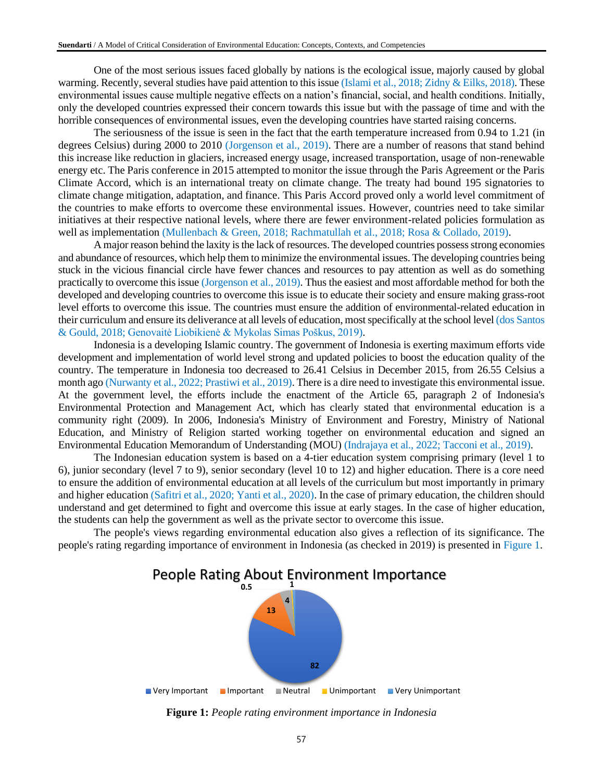One of the most serious issues faced globally by nations is the ecological issue, majorly caused by global warming. Recently, several studies have paid attention to this issue (Islami et al., 2018; Zidny & Eilks, 2018). These environmental issues cause multiple negative effects on a nation's financial, social, and health conditions. Initially, only the developed countries expressed their concern towards this issue but with the passage of time and with the horrible consequences of environmental issues, even the developing countries have started raising concerns.

The seriousness of the issue is seen in the fact that the earth temperature increased from 0.94 to 1.21 (in degrees Celsius) during 2000 to 2010 (Jorgenson et al., 2019). There are a number of reasons that stand behind this increase like reduction in glaciers, increased energy usage, increased transportation, usage of non-renewable energy etc. The Paris conference in 2015 attempted to monitor the issue through the Paris Agreement or the Paris Climate Accord, which is an international treaty on climate change. The treaty had bound 195 signatories to climate change mitigation, adaptation, and finance. This Paris Accord proved only a world level commitment of the countries to make efforts to overcome these environmental issues. However, countries need to take similar initiatives at their respective national levels, where there are fewer environment-related policies formulation as well as implementation (Mullenbach & Green, 2018; Rachmatullah et al., 2018; Rosa & Collado, 2019).

A major reason behind the laxity is the lack of resources. The developed countries possess strong economies and abundance of resources, which help them to minimize the environmental issues. The developing countries being stuck in the vicious financial circle have fewer chances and resources to pay attention as well as do something practically to overcome this issue (Jorgenson et al., 2019). Thus the easiest and most affordable method for both the developed and developing countries to overcome this issue is to educate their society and ensure making grass-root level efforts to overcome this issue. The countries must ensure the addition of environmental-related education in their curriculum and ensure its deliverance at all levels of education, most specifically at the school level (dos Santos & Gould, 2018; Genovaitė Liobikienė & Mykolas Simas Poškus, 2019).

Indonesia is a developing Islamic country. The government of Indonesia is exerting maximum efforts vide development and implementation of world level strong and updated policies to boost the education quality of the country. The temperature in Indonesia too decreased to 26.41 Celsius in December 2015, from 26.55 Celsius a month ago (Nurwanty et al., 2022; Prastiwi et al., 2019). There is a dire need to investigate this environmental issue. At the government level, the efforts include the enactment of the Article 65, paragraph 2 of Indonesia's Environmental Protection and Management Act, which has clearly stated that environmental education is a community right (2009). In 2006, Indonesia's Ministry of Environment and Forestry, Ministry of National Education, and Ministry of Religion started working together on environmental education and signed an Environmental Education Memorandum of Understanding (MOU) (Indrajaya et al., 2022; Tacconi et al., 2019).

The Indonesian education system is based on a 4-tier education system comprising primary (level 1 to 6), junior secondary (level 7 to 9), senior secondary (level 10 to 12) and higher education. There is a core need to ensure the addition of environmental education at all levels of the curriculum but most importantly in primary and higher education (Safitri et al., 2020; Yanti et al., 2020). In the case of primary education, the children should understand and get determined to fight and overcome this issue at early stages. In the case of higher education, the students can help the government as well as the private sector to overcome this issue.

The people's views regarding environmental education also gives a reflection of its significance. The people's rating regarding importance of environment in Indonesia (as checked in 2019) is presented in Figure 1.



**Figure 1:** *People rating environment importance in Indonesia*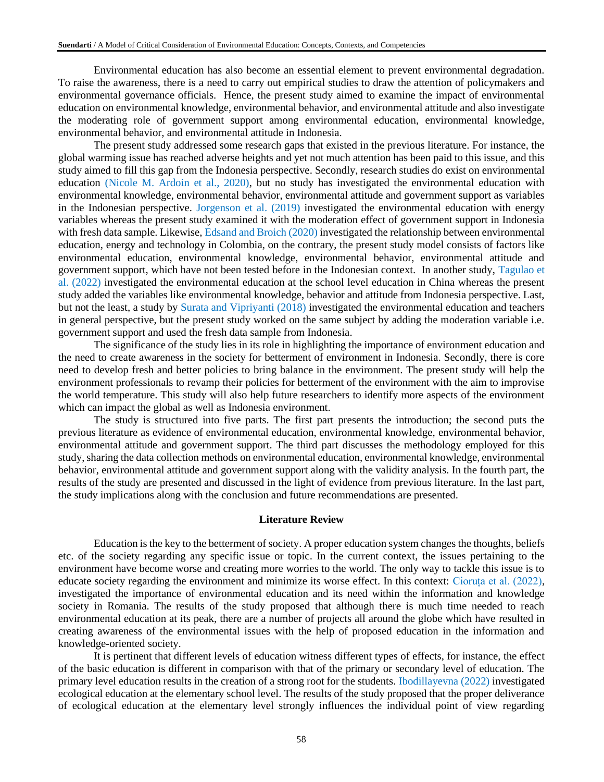Environmental education has also become an essential element to prevent environmental degradation. To raise the awareness, there is a need to carry out empirical studies to draw the attention of policymakers and environmental governance officials. Hence, the present study aimed to examine the impact of environmental education on environmental knowledge, environmental behavior, and environmental attitude and also investigate the moderating role of government support among environmental education, environmental knowledge, environmental behavior, and environmental attitude in Indonesia.

The present study addressed some research gaps that existed in the previous literature. For instance, the global warming issue has reached adverse heights and yet not much attention has been paid to this issue, and this study aimed to fill this gap from the Indonesia perspective. Secondly, research studies do exist on environmental education (Nicole M. Ardoin et al., 2020), but no study has investigated the environmental education with environmental knowledge, environmental behavior, environmental attitude and government support as variables in the Indonesian perspective. Jorgenson et al. (2019) investigated the environmental education with energy variables whereas the present study examined it with the moderation effect of government support in Indonesia with fresh data sample. Likewise, Edsand and Broich (2020) investigated the relationship between environmental education, energy and technology in Colombia, on the contrary, the present study model consists of factors like environmental education, environmental knowledge, environmental behavior, environmental attitude and government support, which have not been tested before in the Indonesian context. In another study, Tagulao et al. (2022) investigated the environmental education at the school level education in China whereas the present study added the variables like environmental knowledge, behavior and attitude from Indonesia perspective. Last, but not the least, a study by Surata and Vipriyanti (2018) investigated the environmental education and teachers in general perspective, but the present study worked on the same subject by adding the moderation variable i.e. government support and used the fresh data sample from Indonesia.

The significance of the study lies in its role in highlighting the importance of environment education and the need to create awareness in the society for betterment of environment in Indonesia. Secondly, there is core need to develop fresh and better policies to bring balance in the environment. The present study will help the environment professionals to revamp their policies for betterment of the environment with the aim to improvise the world temperature. This study will also help future researchers to identify more aspects of the environment which can impact the global as well as Indonesia environment.

The study is structured into five parts. The first part presents the introduction; the second puts the previous literature as evidence of environmental education, environmental knowledge, environmental behavior, environmental attitude and government support. The third part discusses the methodology employed for this study, sharing the data collection methods on environmental education, environmental knowledge, environmental behavior, environmental attitude and government support along with the validity analysis. In the fourth part, the results of the study are presented and discussed in the light of evidence from previous literature. In the last part, the study implications along with the conclusion and future recommendations are presented.

#### **Literature Review**

Education is the key to the betterment of society. A proper education system changes the thoughts, beliefs etc. of the society regarding any specific issue or topic. In the current context, the issues pertaining to the environment have become worse and creating more worries to the world. The only way to tackle this issue is to educate society regarding the environment and minimize its worse effect. In this context: Cioruța et al. (2022), investigated the importance of environmental education and its need within the information and knowledge society in Romania. The results of the study proposed that although there is much time needed to reach environmental education at its peak, there are a number of projects all around the globe which have resulted in creating awareness of the environmental issues with the help of proposed education in the information and knowledge-oriented society.

It is pertinent that different levels of education witness different types of effects, for instance, the effect of the basic education is different in comparison with that of the primary or secondary level of education. The primary level education results in the creation of a strong root for the students. Ibodillayevna (2022) investigated ecological education at the elementary school level. The results of the study proposed that the proper deliverance of ecological education at the elementary level strongly influences the individual point of view regarding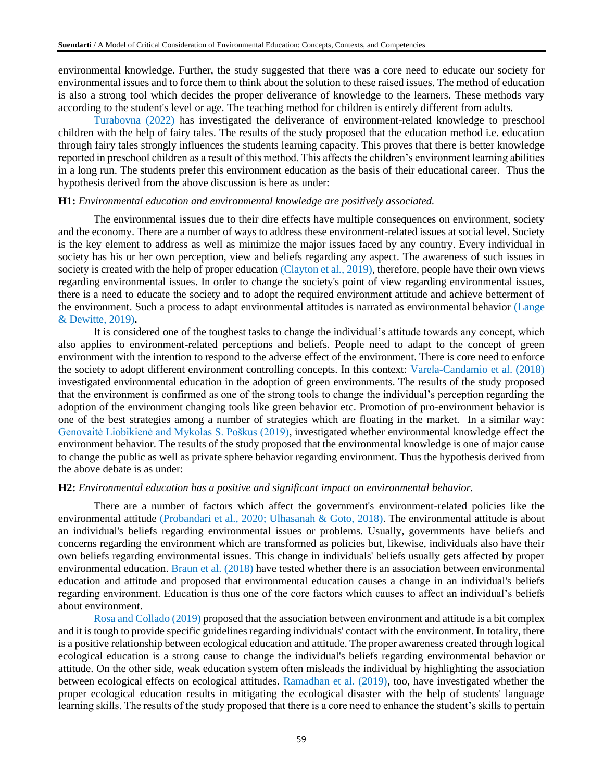environmental knowledge. Further, the study suggested that there was a core need to educate our society for environmental issues and to force them to think about the solution to these raised issues. The method of education is also a strong tool which decides the proper deliverance of knowledge to the learners. These methods vary according to the student's level or age. The teaching method for children is entirely different from adults.

Turabovna (2022) has investigated the deliverance of environment-related knowledge to preschool children with the help of fairy tales. The results of the study proposed that the education method i.e. education through fairy tales strongly influences the students learning capacity. This proves that there is better knowledge reported in preschool children as a result of this method. This affects the children's environment learning abilities in a long run. The students prefer this environment education as the basis of their educational career. Thus the hypothesis derived from the above discussion is here as under:

### **H1:** *Environmental education and environmental knowledge are positively associated.*

The environmental issues due to their dire effects have multiple consequences on environment, society and the economy. There are a number of ways to address these environment-related issues at social level. Society is the key element to address as well as minimize the major issues faced by any country. Every individual in society has his or her own perception, view and beliefs regarding any aspect. The awareness of such issues in society is created with the help of proper education (Clayton et al., 2019), therefore, people have their own views regarding environmental issues. In order to change the society's point of view regarding environmental issues, there is a need to educate the society and to adopt the required environment attitude and achieve betterment of the environment. Such a process to adapt environmental attitudes is narrated as environmental behavior (Lange & Dewitte, 2019)**.**

It is considered one of the toughest tasks to change the individual's attitude towards any concept, which also applies to environment-related perceptions and beliefs. People need to adapt to the concept of green environment with the intention to respond to the adverse effect of the environment. There is core need to enforce the society to adopt different environment controlling concepts. In this context: Varela-Candamio et al. (2018) investigated environmental education in the adoption of green environments. The results of the study proposed that the environment is confirmed as one of the strong tools to change the individual's perception regarding the adoption of the environment changing tools like green behavior etc. Promotion of pro-environment behavior is one of the best strategies among a number of strategies which are floating in the market. In a similar way: Genovaitė Liobikienė and Mykolas S. Poškus (2019), investigated whether environmental knowledge effect the environment behavior. The results of the study proposed that the environmental knowledge is one of major cause to change the public as well as private sphere behavior regarding environment. Thus the hypothesis derived from the above debate is as under:

#### **H2:** *Environmental education has a positive and significant impact on environmental behavior.*

There are a number of factors which affect the government's environment-related policies like the environmental attitude (Probandari et al., 2020; Ulhasanah & Goto, 2018). The environmental attitude is about an individual's beliefs regarding environmental issues or problems. Usually, governments have beliefs and concerns regarding the environment which are transformed as policies but, likewise, individuals also have their own beliefs regarding environmental issues. This change in individuals' beliefs usually gets affected by proper environmental education. Braun et al. (2018) have tested whether there is an association between environmental education and attitude and proposed that environmental education causes a change in an individual's beliefs regarding environment. Education is thus one of the core factors which causes to affect an individual's beliefs about environment.

Rosa and Collado (2019) proposed that the association between environment and attitude is a bit complex and it is tough to provide specific guidelines regarding individuals' contact with the environment. In totality, there is a positive relationship between ecological education and attitude. The proper awareness created through logical ecological education is a strong cause to change the individual's beliefs regarding environmental behavior or attitude. On the other side, weak education system often misleads the individual by highlighting the association between ecological effects on ecological attitudes. Ramadhan et al. (2019), too, have investigated whether the proper ecological education results in mitigating the ecological disaster with the help of students' language learning skills. The results of the study proposed that there is a core need to enhance the student's skills to pertain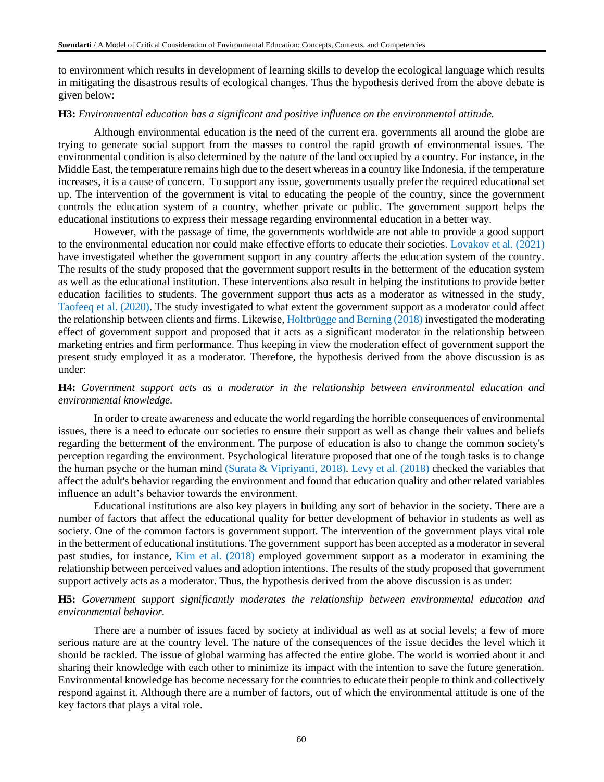to environment which results in development of learning skills to develop the ecological language which results in mitigating the disastrous results of ecological changes. Thus the hypothesis derived from the above debate is given below:

### **H3:** *Environmental education has a significant and positive influence on the environmental attitude.*

Although environmental education is the need of the current era. governments all around the globe are trying to generate social support from the masses to control the rapid growth of environmental issues. The environmental condition is also determined by the nature of the land occupied by a country. For instance, in the Middle East, the temperature remains high due to the desert whereas in a country like Indonesia, if the temperature increases, it is a cause of concern. To support any issue, governments usually prefer the required educational set up. The intervention of the government is vital to educating the people of the country, since the government controls the education system of a country, whether private or public. The government support helps the educational institutions to express their message regarding environmental education in a better way.

However, with the passage of time, the governments worldwide are not able to provide a good support to the environmental education nor could make effective efforts to educate their societies. Lovakov et al. (2021) have investigated whether the government support in any country affects the education system of the country. The results of the study proposed that the government support results in the betterment of the education system as well as the educational institution. These interventions also result in helping the institutions to provide better education facilities to students. The government support thus acts as a moderator as witnessed in the study, Taofeeq et al. (2020). The study investigated to what extent the government support as a moderator could affect the relationship between clients and firms. Likewise, Holtbrügge and Berning (2018) investigated the moderating effect of government support and proposed that it acts as a significant moderator in the relationship between marketing entries and firm performance. Thus keeping in view the moderation effect of government support the present study employed it as a moderator. Therefore, the hypothesis derived from the above discussion is as under:

# **H4:** *Government support acts as a moderator in the relationship between environmental education and environmental knowledge.*

In order to create awareness and educate the world regarding the horrible consequences of environmental issues, there is a need to educate our societies to ensure their support as well as change their values and beliefs regarding the betterment of the environment. The purpose of education is also to change the common society's perception regarding the environment. Psychological literature proposed that one of the tough tasks is to change the human psyche or the human mind (Surata & Vipriyanti, 2018). Levy et al. (2018) checked the variables that affect the adult's behavior regarding the environment and found that education quality and other related variables influence an adult's behavior towards the environment.

Educational institutions are also key players in building any sort of behavior in the society. There are a number of factors that affect the educational quality for better development of behavior in students as well as society. One of the common factors is government support. The intervention of the government plays vital role in the betterment of educational institutions. The government support has been accepted as a moderator in several past studies, for instance, Kim et al. (2018) employed government support as a moderator in examining the relationship between perceived values and adoption intentions. The results of the study proposed that government support actively acts as a moderator. Thus, the hypothesis derived from the above discussion is as under:

# **H5:** *Government support significantly moderates the relationship between environmental education and environmental behavior.*

There are a number of issues faced by society at individual as well as at social levels; a few of more serious nature are at the country level. The nature of the consequences of the issue decides the level which it should be tackled. The issue of global warming has affected the entire globe. The world is worried about it and sharing their knowledge with each other to minimize its impact with the intention to save the future generation. Environmental knowledge has become necessary for the countries to educate their people to think and collectively respond against it. Although there are a number of factors, out of which the environmental attitude is one of the key factors that plays a vital role.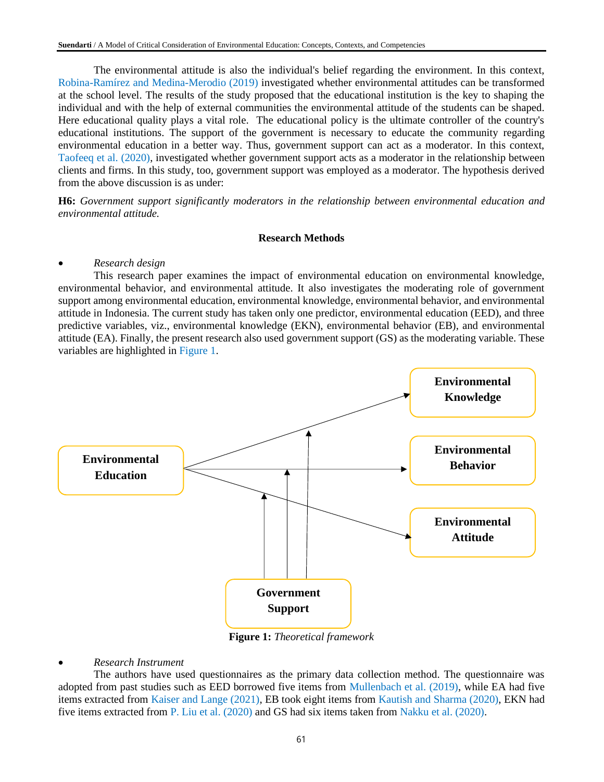The environmental attitude is also the individual's belief regarding the environment. In this context, Robina-Ramírez and Medina-Merodio (2019) investigated whether environmental attitudes can be transformed at the school level. The results of the study proposed that the educational institution is the key to shaping the individual and with the help of external communities the environmental attitude of the students can be shaped. Here educational quality plays a vital role. The educational policy is the ultimate controller of the country's educational institutions. The support of the government is necessary to educate the community regarding environmental education in a better way. Thus, government support can act as a moderator. In this context, Taofeeq et al. (2020), investigated whether government support acts as a moderator in the relationship between clients and firms. In this study, too, government support was employed as a moderator. The hypothesis derived from the above discussion is as under:

**H6:** *Government support significantly moderators in the relationship between environmental education and environmental attitude.*

#### **Research Methods**

#### • *Research design*

This research paper examines the impact of environmental education on environmental knowledge, environmental behavior, and environmental attitude. It also investigates the moderating role of government support among environmental education, environmental knowledge, environmental behavior, and environmental attitude in Indonesia. The current study has taken only one predictor, environmental education (EED), and three predictive variables, viz., environmental knowledge (EKN), environmental behavior (EB), and environmental attitude (EA). Finally, the present research also used government support (GS) as the moderating variable. These variables are highlighted in Figure 1.



**Figure 1:** *Theoretical framework*

# • *Research Instrument*

The authors have used questionnaires as the primary data collection method. The questionnaire was adopted from past studies such as EED borrowed five items from Mullenbach et al. (2019), while EA had five items extracted from Kaiser and Lange (2021), EB took eight items from Kautish and Sharma (2020), EKN had five items extracted from P. Liu et al. (2020) and GS had six items taken from Nakku et al. (2020).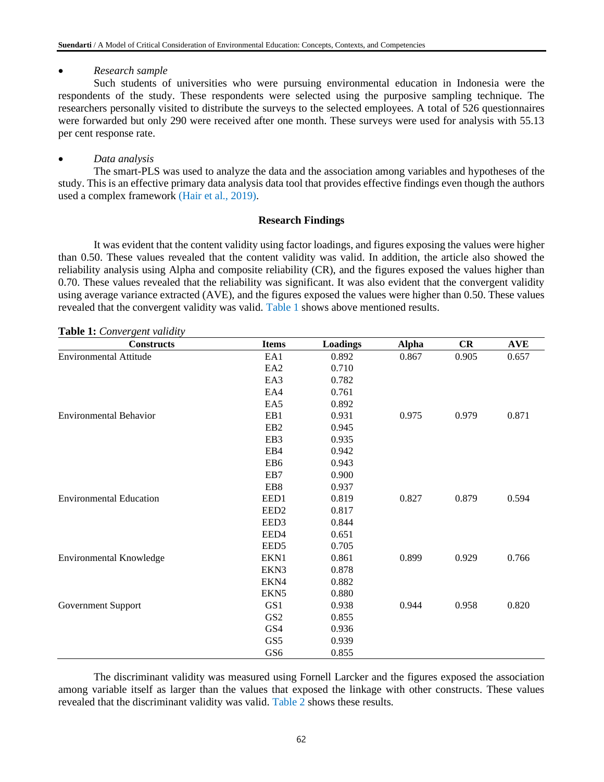# • *Research sample*

Such students of universities who were pursuing environmental education in Indonesia were the respondents of the study. These respondents were selected using the purposive sampling technique. The researchers personally visited to distribute the surveys to the selected employees. A total of 526 questionnaires were forwarded but only 290 were received after one month. These surveys were used for analysis with 55.13 per cent response rate.

# • *Data analysis*

The smart-PLS was used to analyze the data and the association among variables and hypotheses of the study. This is an effective primary data analysis data tool that provides effective findings even though the authors used a complex framework (Hair et al., 2019).

# **Research Findings**

It was evident that the content validity using factor loadings, and figures exposing the values were higher than 0.50. These values revealed that the content validity was valid. In addition, the article also showed the reliability analysis using Alpha and composite reliability (CR), and the figures exposed the values higher than 0.70. These values revealed that the reliability was significant. It was also evident that the convergent validity using average variance extracted (AVE), and the figures exposed the values were higher than 0.50. These values revealed that the convergent validity was valid. Table 1 shows above mentioned results.

**Table 1:** *Convergent validity*

| <b>Constructs</b>              | <b>Items</b>     | <b>Loadings</b> | <b>Alpha</b> | CR    | <b>AVE</b> |
|--------------------------------|------------------|-----------------|--------------|-------|------------|
| <b>Environmental Attitude</b>  | EA1              | 0.892           | 0.867        | 0.905 | 0.657      |
|                                | EA <sub>2</sub>  | 0.710           |              |       |            |
|                                | EA3              | 0.782           |              |       |            |
|                                | EA4              | 0.761           |              |       |            |
|                                | EA5              | 0.892           |              |       |            |
| <b>Environmental Behavior</b>  | EB1              | 0.931           | 0.975        | 0.979 | 0.871      |
|                                | EB <sub>2</sub>  | 0.945           |              |       |            |
|                                | EB3              | 0.935           |              |       |            |
|                                | EB4              | 0.942           |              |       |            |
|                                | EB <sub>6</sub>  | 0.943           |              |       |            |
|                                | EB7              | 0.900           |              |       |            |
|                                | EB8              | 0.937           |              |       |            |
| <b>Environmental Education</b> | EED1             | 0.819           | 0.827        | 0.879 | 0.594      |
|                                | EED <sub>2</sub> | 0.817           |              |       |            |
|                                | EED3             | 0.844           |              |       |            |
|                                | EED4             | 0.651           |              |       |            |
|                                | EED <sub>5</sub> | 0.705           |              |       |            |
| Environmental Knowledge        | EKN1             | 0.861           | 0.899        | 0.929 | 0.766      |
|                                | EKN3             | 0.878           |              |       |            |
|                                | EKN4             | 0.882           |              |       |            |
|                                | EKN <sub>5</sub> | 0.880           |              |       |            |
| Government Support             | GS1              | 0.938           | 0.944        | 0.958 | 0.820      |
|                                | GS <sub>2</sub>  | 0.855           |              |       |            |
|                                | GS4              | 0.936           |              |       |            |
|                                | GS5              | 0.939           |              |       |            |
|                                | GS <sub>6</sub>  | 0.855           |              |       |            |

The discriminant validity was measured using Fornell Larcker and the figures exposed the association among variable itself as larger than the values that exposed the linkage with other constructs. These values revealed that the discriminant validity was valid. Table 2 shows these results.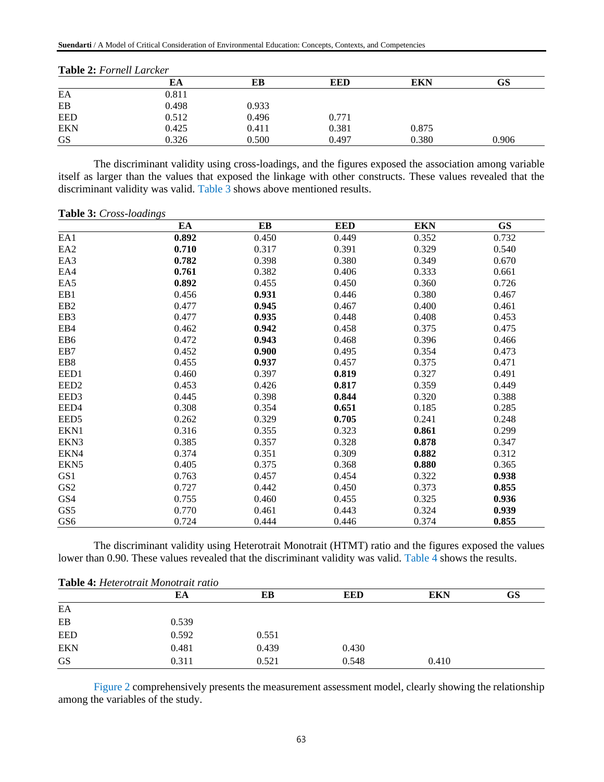| <b>1400 2.1</b> $\sigma$ <i>101</i> $\sigma$ <i>101</i> $\sigma$ <i>101</i> $\sigma$ |       |       |            |       |       |  |
|--------------------------------------------------------------------------------------|-------|-------|------------|-------|-------|--|
|                                                                                      | EA    | EВ    | <b>EED</b> | EKN   | GS    |  |
| EA                                                                                   | 0.811 |       |            |       |       |  |
| EB                                                                                   | 0.498 | 0.933 |            |       |       |  |
| <b>EED</b>                                                                           | 0.512 | 0.496 | 0.771      |       |       |  |
| <b>EKN</b>                                                                           | 0.425 | 0.411 | 0.381      | 0.875 |       |  |
| <b>GS</b>                                                                            | 0.326 | 0.500 | 0.497      | 0.380 | 0.906 |  |

| Table 2: Fornell Larcker |  |
|--------------------------|--|
|--------------------------|--|

The discriminant validity using cross-loadings, and the figures exposed the association among variable itself as larger than the values that exposed the linkage with other constructs. These values revealed that the discriminant validity was valid. Table 3 shows above mentioned results.

#### **Table 3:** *Cross-loadings*

|                  | EA    | EB    | <b>EED</b> | <b>EKN</b> | <b>GS</b> |
|------------------|-------|-------|------------|------------|-----------|
| EA1              | 0.892 | 0.450 | 0.449      | 0.352      | 0.732     |
| EA <sub>2</sub>  | 0.710 | 0.317 | 0.391      | 0.329      | 0.540     |
| EA3              | 0.782 | 0.398 | 0.380      | 0.349      | 0.670     |
| EA4              | 0.761 | 0.382 | 0.406      | 0.333      | 0.661     |
| EA5              | 0.892 | 0.455 | 0.450      | 0.360      | 0.726     |
| EB1              | 0.456 | 0.931 | 0.446      | 0.380      | 0.467     |
| EB <sub>2</sub>  | 0.477 | 0.945 | 0.467      | 0.400      | 0.461     |
| EB <sub>3</sub>  | 0.477 | 0.935 | 0.448      | 0.408      | 0.453     |
| EB4              | 0.462 | 0.942 | 0.458      | 0.375      | 0.475     |
| EB <sub>6</sub>  | 0.472 | 0.943 | 0.468      | 0.396      | 0.466     |
| EB7              | 0.452 | 0.900 | 0.495      | 0.354      | 0.473     |
| EB <sub>8</sub>  | 0.455 | 0.937 | 0.457      | 0.375      | 0.471     |
| EED1             | 0.460 | 0.397 | 0.819      | 0.327      | 0.491     |
| EED <sub>2</sub> | 0.453 | 0.426 | 0.817      | 0.359      | 0.449     |
| EED3             | 0.445 | 0.398 | 0.844      | 0.320      | 0.388     |
| EED4             | 0.308 | 0.354 | 0.651      | 0.185      | 0.285     |
| EED <sub>5</sub> | 0.262 | 0.329 | 0.705      | 0.241      | 0.248     |
| EKN1             | 0.316 | 0.355 | 0.323      | 0.861      | 0.299     |
| EKN3             | 0.385 | 0.357 | 0.328      | 0.878      | 0.347     |
| EKN4             | 0.374 | 0.351 | 0.309      | 0.882      | 0.312     |
| EKN <sub>5</sub> | 0.405 | 0.375 | 0.368      | 0.880      | 0.365     |
| GS1              | 0.763 | 0.457 | 0.454      | 0.322      | 0.938     |
| GS <sub>2</sub>  | 0.727 | 0.442 | 0.450      | 0.373      | 0.855     |
| GS4              | 0.755 | 0.460 | 0.455      | 0.325      | 0.936     |
| GS5              | 0.770 | 0.461 | 0.443      | 0.324      | 0.939     |
| GS6              | 0.724 | 0.444 | 0.446      | 0.374      | 0.855     |

The discriminant validity using Heterotrait Monotrait (HTMT) ratio and the figures exposed the values lower than 0.90. These values revealed that the discriminant validity was valid. Table 4 shows the results.

| Table 4: Heterotrait Monotrait ratio |       |       |            |            |    |  |  |
|--------------------------------------|-------|-------|------------|------------|----|--|--|
|                                      | EA    | EВ    | <b>EED</b> | <b>EKN</b> | GS |  |  |
| EA                                   |       |       |            |            |    |  |  |
| EB                                   | 0.539 |       |            |            |    |  |  |
| <b>EED</b>                           | 0.592 | 0.551 |            |            |    |  |  |
| <b>EKN</b>                           | 0.481 | 0.439 | 0.430      |            |    |  |  |
| <b>GS</b>                            | 0.311 | 0.521 | 0.548      | 0.410      |    |  |  |

Figure 2 comprehensively presents the measurement assessment model, clearly showing the relationship among the variables of the study.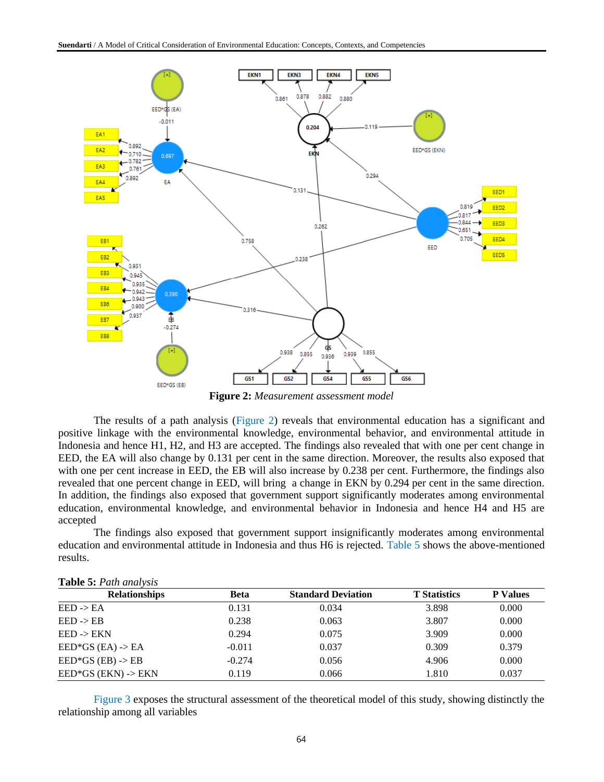

**Figure 2:** *Measurement assessment model*

The results of a path analysis (Figure 2) reveals that environmental education has a significant and positive linkage with the environmental knowledge, environmental behavior, and environmental attitude in Indonesia and hence H1, H2, and H3 are accepted. The findings also revealed that with one per cent change in EED, the EA will also change by 0.131 per cent in the same direction. Moreover, the results also exposed that with one per cent increase in EED, the EB will also increase by 0.238 per cent. Furthermore, the findings also revealed that one percent change in EED, will bring a change in EKN by 0.294 per cent in the same direction. In addition, the findings also exposed that government support significantly moderates among environmental education, environmental knowledge, and environmental behavior in Indonesia and hence H4 and H5 are accepted

The findings also exposed that government support insignificantly moderates among environmental education and environmental attitude in Indonesia and thus H6 is rejected. Table 5 shows the above-mentioned results.

| <b>Table 5:</b> Fain and ests  |          |                           |                     |                 |  |  |
|--------------------------------|----------|---------------------------|---------------------|-----------------|--|--|
| <b>Relationships</b>           | Beta     | <b>Standard Deviation</b> | <b>T</b> Statistics | <b>P</b> Values |  |  |
| $EED \rightarrow EA$           | 0.131    | 0.034                     | 3.898               | 0.000           |  |  |
| $EED \rightarrow EB$           | 0.238    | 0.063                     | 3.807               | 0.000           |  |  |
| $EED \rightarrow EKN$          | 0.294    | 0.075                     | 3.909               | 0.000           |  |  |
| $EED*GS$ (EA) -> EA            | $-0.011$ | 0.037                     | 0.309               | 0.379           |  |  |
| $EED*GS$ (EB) $\rightarrow$ EB | $-0.274$ | 0.056                     | 4.906               | 0.000           |  |  |
| $EED*GS$ (EKN) -> EKN          | 0.119    | 0.066                     | 1.810               | 0.037           |  |  |

| Table 5: Path analysis |  |  |  |  |
|------------------------|--|--|--|--|
|------------------------|--|--|--|--|

Figure 3 exposes the structural assessment of the theoretical model of this study, showing distinctly the relationship among all variables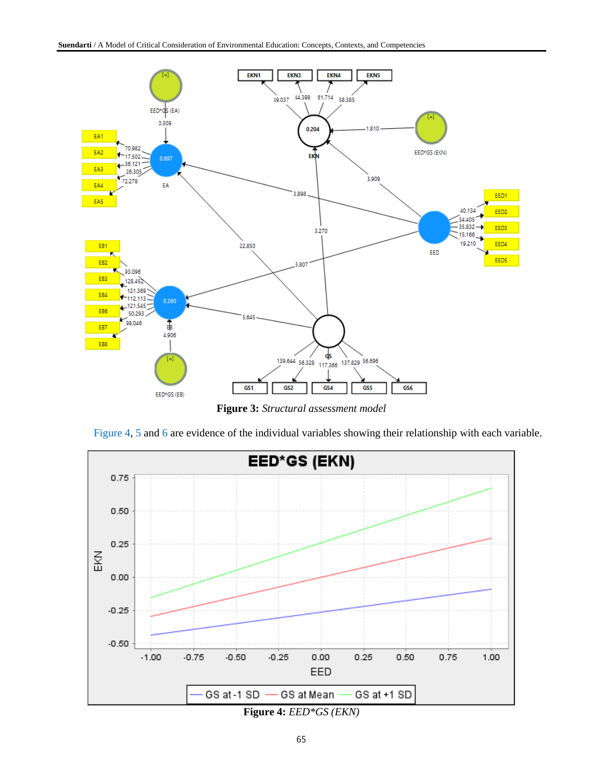

**Figure 3:** *Structural assessment model*



Figure 4, 5 and 6 are evidence of the individual variables showing their relationship with each variable.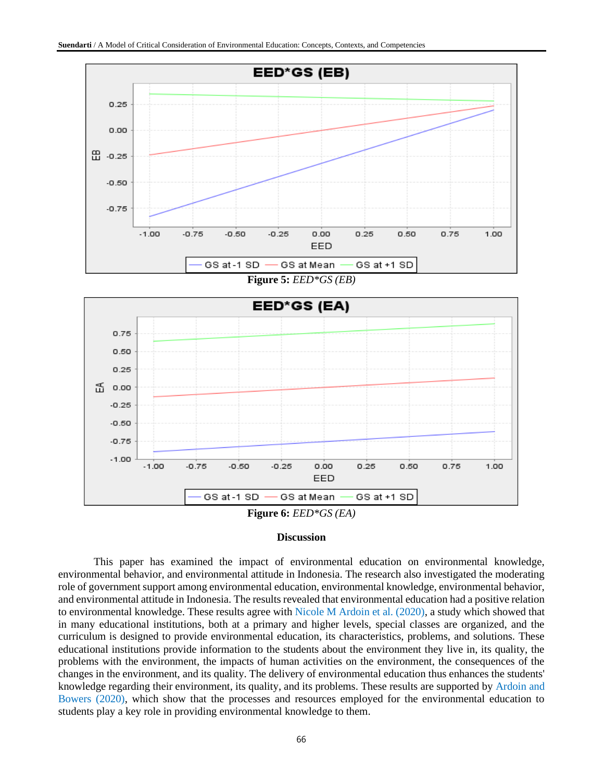

**Figure 5:** *EED\*GS (EB)*



### **Discussion**

This paper has examined the impact of environmental education on environmental knowledge, environmental behavior, and environmental attitude in Indonesia. The research also investigated the moderating role of government support among environmental education, environmental knowledge, environmental behavior, and environmental attitude in Indonesia. The results revealed that environmental education had a positive relation to environmental knowledge. These results agree with Nicole M Ardoin et al. (2020), a study which showed that in many educational institutions, both at a primary and higher levels, special classes are organized, and the curriculum is designed to provide environmental education, its characteristics, problems, and solutions. These educational institutions provide information to the students about the environment they live in, its quality, the problems with the environment, the impacts of human activities on the environment, the consequences of the changes in the environment, and its quality. The delivery of environmental education thus enhances the students' knowledge regarding their environment, its quality, and its problems. These results are supported by Ardoin and Bowers (2020), which show that the processes and resources employed for the environmental education to students play a key role in providing environmental knowledge to them.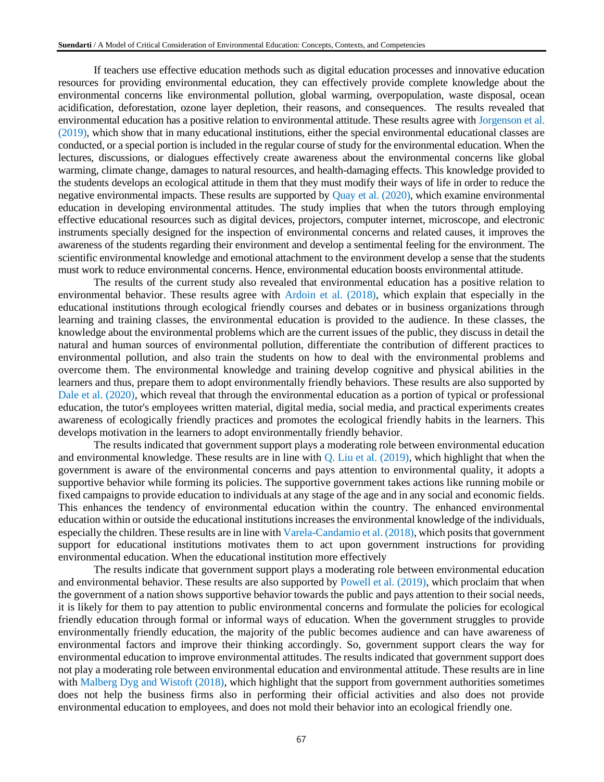If teachers use effective education methods such as digital education processes and innovative education resources for providing environmental education, they can effectively provide complete knowledge about the environmental concerns like environmental pollution, global warming, overpopulation, waste disposal, ocean acidification, deforestation, ozone layer depletion, their reasons, and consequences. The results revealed that environmental education has a positive relation to environmental attitude. These results agree with Jorgenson et al. (2019), which show that in many educational institutions, either the special environmental educational classes are conducted, or a special portion is included in the regular course of study for the environmental education. When the lectures, discussions, or dialogues effectively create awareness about the environmental concerns like global warming, climate change, damages to natural resources, and health-damaging effects. This knowledge provided to the students develops an ecological attitude in them that they must modify their ways of life in order to reduce the negative environmental impacts. These results are supported by Quay et al. (2020), which examine environmental education in developing environmental attitudes. The study implies that when the tutors through employing effective educational resources such as digital devices, projectors, computer internet, microscope, and electronic instruments specially designed for the inspection of environmental concerns and related causes, it improves the awareness of the students regarding their environment and develop a sentimental feeling for the environment. The scientific environmental knowledge and emotional attachment to the environment develop a sense that the students must work to reduce environmental concerns. Hence, environmental education boosts environmental attitude.

The results of the current study also revealed that environmental education has a positive relation to environmental behavior. These results agree with Ardoin et al. (2018), which explain that especially in the educational institutions through ecological friendly courses and debates or in business organizations through learning and training classes, the environmental education is provided to the audience. In these classes, the knowledge about the environmental problems which are the current issues of the public, they discuss in detail the natural and human sources of environmental pollution, differentiate the contribution of different practices to environmental pollution, and also train the students on how to deal with the environmental problems and overcome them. The environmental knowledge and training develop cognitive and physical abilities in the learners and thus, prepare them to adopt environmentally friendly behaviors. These results are also supported by Dale et al. (2020), which reveal that through the environmental education as a portion of typical or professional education, the tutor's employees written material, digital media, social media, and practical experiments creates awareness of ecologically friendly practices and promotes the ecological friendly habits in the learners. This develops motivation in the learners to adopt environmentally friendly behavior.

The results indicated that government support plays a moderating role between environmental education and environmental knowledge. These results are in line with  $Q$ . Liu et al. (2019), which highlight that when the government is aware of the environmental concerns and pays attention to environmental quality, it adopts a supportive behavior while forming its policies. The supportive government takes actions like running mobile or fixed campaigns to provide education to individuals at any stage of the age and in any social and economic fields. This enhances the tendency of environmental education within the country. The enhanced environmental education within or outside the educational institutions increases the environmental knowledge of the individuals, especially the children. These results are in line with Varela-Candamio et al. (2018), which posits that government support for educational institutions motivates them to act upon government instructions for providing environmental education. When the educational institution more effectively

The results indicate that government support plays a moderating role between environmental education and environmental behavior. These results are also supported by Powell et al. (2019), which proclaim that when the government of a nation shows supportive behavior towards the public and pays attention to their social needs, it is likely for them to pay attention to public environmental concerns and formulate the policies for ecological friendly education through formal or informal ways of education. When the government struggles to provide environmentally friendly education, the majority of the public becomes audience and can have awareness of environmental factors and improve their thinking accordingly. So, government support clears the way for environmental education to improve environmental attitudes. The results indicated that government support does not play a moderating role between environmental education and environmental attitude. These results are in line with Malberg Dyg and Wistoft  $(2018)$ , which highlight that the support from government authorities sometimes does not help the business firms also in performing their official activities and also does not provide environmental education to employees, and does not mold their behavior into an ecological friendly one.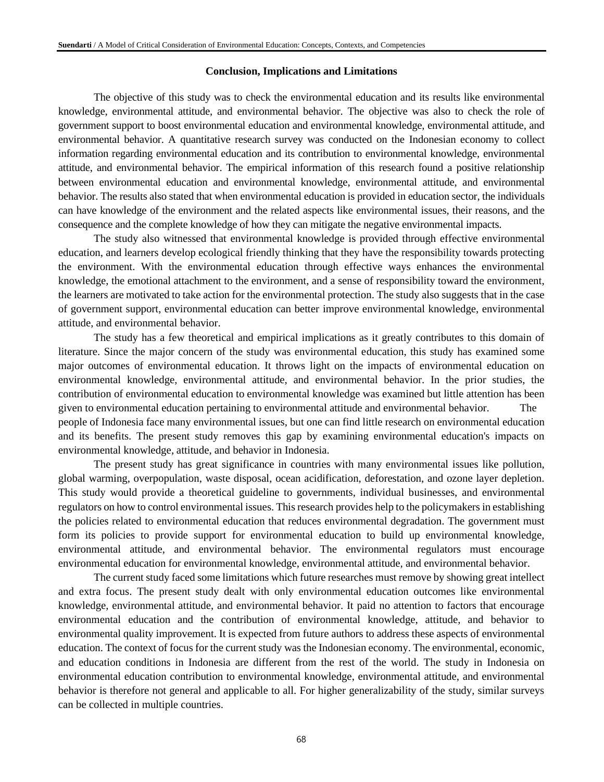### **Conclusion, Implications and Limitations**

The objective of this study was to check the environmental education and its results like environmental knowledge, environmental attitude, and environmental behavior. The objective was also to check the role of government support to boost environmental education and environmental knowledge, environmental attitude, and environmental behavior. A quantitative research survey was conducted on the Indonesian economy to collect information regarding environmental education and its contribution to environmental knowledge, environmental attitude, and environmental behavior. The empirical information of this research found a positive relationship between environmental education and environmental knowledge, environmental attitude, and environmental behavior. The results also stated that when environmental education is provided in education sector, the individuals can have knowledge of the environment and the related aspects like environmental issues, their reasons, and the consequence and the complete knowledge of how they can mitigate the negative environmental impacts.

The study also witnessed that environmental knowledge is provided through effective environmental education, and learners develop ecological friendly thinking that they have the responsibility towards protecting the environment. With the environmental education through effective ways enhances the environmental knowledge, the emotional attachment to the environment, and a sense of responsibility toward the environment, the learners are motivated to take action for the environmental protection. The study also suggests that in the case of government support, environmental education can better improve environmental knowledge, environmental attitude, and environmental behavior.

The study has a few theoretical and empirical implications as it greatly contributes to this domain of literature. Since the major concern of the study was environmental education, this study has examined some major outcomes of environmental education. It throws light on the impacts of environmental education on environmental knowledge, environmental attitude, and environmental behavior. In the prior studies, the contribution of environmental education to environmental knowledge was examined but little attention has been given to environmental education pertaining to environmental attitude and environmental behavior. The people of Indonesia face many environmental issues, but one can find little research on environmental education and its benefits. The present study removes this gap by examining environmental education's impacts on environmental knowledge, attitude, and behavior in Indonesia.

The present study has great significance in countries with many environmental issues like pollution, global warming, overpopulation, waste disposal, ocean acidification, deforestation, and ozone layer depletion. This study would provide a theoretical guideline to governments, individual businesses, and environmental regulators on how to control environmental issues. This research provides help to the policymakers in establishing the policies related to environmental education that reduces environmental degradation. The government must form its policies to provide support for environmental education to build up environmental knowledge, environmental attitude, and environmental behavior. The environmental regulators must encourage environmental education for environmental knowledge, environmental attitude, and environmental behavior.

The current study faced some limitations which future researches must remove by showing great intellect and extra focus. The present study dealt with only environmental education outcomes like environmental knowledge, environmental attitude, and environmental behavior. It paid no attention to factors that encourage environmental education and the contribution of environmental knowledge, attitude, and behavior to environmental quality improvement. It is expected from future authors to address these aspects of environmental education. The context of focus for the current study was the Indonesian economy. The environmental, economic, and education conditions in Indonesia are different from the rest of the world. The study in Indonesia on environmental education contribution to environmental knowledge, environmental attitude, and environmental behavior is therefore not general and applicable to all. For higher generalizability of the study, similar surveys can be collected in multiple countries.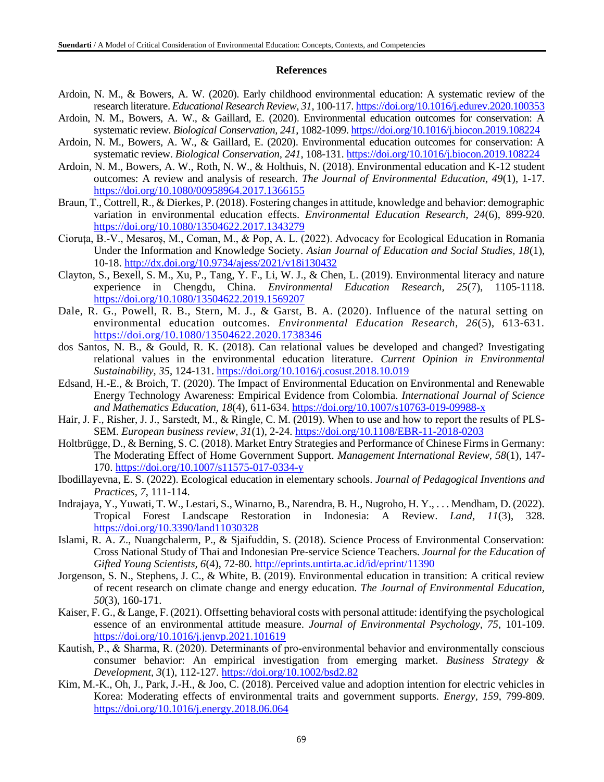### **References**

- Ardoin, N. M., & Bowers, A. W. (2020). Early childhood environmental education: A systematic review of the research literature. *Educational Research Review, 31*, 100-117.<https://doi.org/10.1016/j.edurev.2020.100353>
- Ardoin, N. M., Bowers, A. W., & Gaillard, E. (2020). Environmental education outcomes for conservation: A systematic review. *Biological Conservation, 241*, 1082-1099.<https://doi.org/10.1016/j.biocon.2019.108224>
- Ardoin, N. M., Bowers, A. W., & Gaillard, E. (2020). Environmental education outcomes for conservation: A systematic review. *Biological Conservation, 241*, 108-131.<https://doi.org/10.1016/j.biocon.2019.108224>
- Ardoin, N. M., Bowers, A. W., Roth, N. W., & Holthuis, N. (2018). Environmental education and K-12 student outcomes: A review and analysis of research. *The Journal of Environmental Education, 49*(1), 1-17. <https://doi.org/10.1080/00958964.2017.1366155>
- Braun, T., Cottrell, R., & Dierkes, P. (2018). Fostering changes in attitude, knowledge and behavior: demographic variation in environmental education effects. *Environmental Education Research, 24*(6), 899-920. <https://doi.org/10.1080/13504622.2017.1343279>
- Cioruța, B.-V., Mesaroș, M., Coman, M., & Pop, A. L. (2022). Advocacy for Ecological Education in Romania Under the Information and Knowledge Society. *Asian Journal of Education and Social Studies, 18*(1), 10-18.<http://dx.doi.org/10.9734/ajess/2021/v18i130432>
- Clayton, S., Bexell, S. M., Xu, P., Tang, Y. F., Li, W. J., & Chen, L. (2019). Environmental literacy and nature experience in Chengdu, China. *Environmental Education Research, 25*(7), 1105-1118. <https://doi.org/10.1080/13504622.2019.1569207>
- Dale, R. G., Powell, R. B., Stern, M. J., & Garst, B. A. (2020). Influence of the natural setting on environmental education outcomes. *Environmental Education Research, 26*(5), 613-631. <https://doi.org/10.1080/13504622.2020.1738346>
- dos Santos, N. B., & Gould, R. K. (2018). Can relational values be developed and changed? Investigating relational values in the environmental education literature. *Current Opinion in Environmental Sustainability, 35*, 124-131[. https://doi.org/10.1016/j.cosust.2018.10.019](https://doi.org/10.1016/j.cosust.2018.10.019)
- Edsand, H.-E., & Broich, T. (2020). The Impact of Environmental Education on Environmental and Renewable Energy Technology Awareness: Empirical Evidence from Colombia. *International Journal of Science and Mathematics Education, 18*(4), 611-634.<https://doi.org/10.1007/s10763-019-09988-x>
- Hair, J. F., Risher, J. J., Sarstedt, M., & Ringle, C. M. (2019). When to use and how to report the results of PLS-SEM. *European business review, 31*(1), 2-24.<https://doi.org/10.1108/EBR-11-2018-0203>
- Holtbrügge, D., & Berning, S. C. (2018). Market Entry Strategies and Performance of Chinese Firms in Germany: The Moderating Effect of Home Government Support. *Management International Review, 58*(1), 147- 170.<https://doi.org/10.1007/s11575-017-0334-y>
- Ibodillayevna, E. S. (2022). Ecological education in elementary schools. *Journal of Pedagogical Inventions and Practices, 7*, 111-114.
- Indrajaya, Y., Yuwati, T. W., Lestari, S., Winarno, B., Narendra, B. H., Nugroho, H. Y., . . . Mendham, D. (2022). Tropical Forest Landscape Restoration in Indonesia: A Review. *Land, 11*(3), 328. <https://doi.org/10.3390/land11030328>
- Islami, R. A. Z., Nuangchalerm, P., & Sjaifuddin, S. (2018). Science Process of Environmental Conservation: Cross National Study of Thai and Indonesian Pre-service Science Teachers. *Journal for the Education of Gifted Young Scientists, 6*(4), 72-80.<http://eprints.untirta.ac.id/id/eprint/11390>
- Jorgenson, S. N., Stephens, J. C., & White, B. (2019). Environmental education in transition: A critical review of recent research on climate change and energy education. *The Journal of Environmental Education, 50*(3), 160-171.
- Kaiser, F. G., & Lange, F. (2021). Offsetting behavioral costs with personal attitude: identifying the psychological essence of an environmental attitude measure. *Journal of Environmental Psychology, 75*, 101-109. <https://doi.org/10.1016/j.jenvp.2021.101619>
- Kautish, P., & Sharma, R. (2020). Determinants of pro‐environmental behavior and environmentally conscious consumer behavior: An empirical investigation from emerging market. *Business Strategy & Development, 3*(1), 112-127.<https://doi.org/10.1002/bsd2.82>
- Kim, M.-K., Oh, J., Park, J.-H., & Joo, C. (2018). Perceived value and adoption intention for electric vehicles in Korea: Moderating effects of environmental traits and government supports. *Energy, 159*, 799-809. <https://doi.org/10.1016/j.energy.2018.06.064>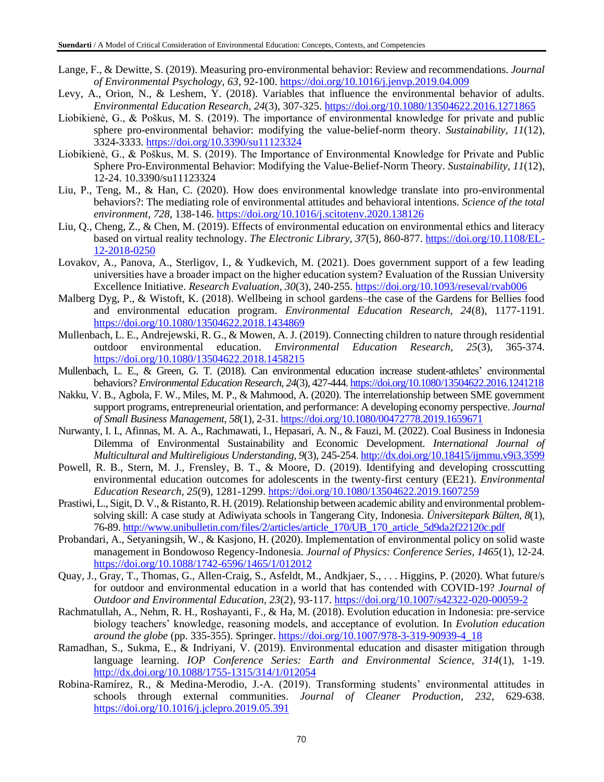- Lange, F., & Dewitte, S. (2019). Measuring pro-environmental behavior: Review and recommendations. *Journal of Environmental Psychology, 63*, 92-100.<https://doi.org/10.1016/j.jenvp.2019.04.009>
- Levy, A., Orion, N., & Leshem, Y. (2018). Variables that influence the environmental behavior of adults. *Environmental Education Research, 24*(3), 307-325.<https://doi.org/10.1080/13504622.2016.1271865>
- Liobikienė, G., & Poškus, M. S. (2019). The importance of environmental knowledge for private and public sphere pro-environmental behavior: modifying the value-belief-norm theory. *Sustainability, 11*(12), 3324-3333.<https://doi.org/10.3390/su11123324>
- Liobikienė, G., & Poškus, M. S. (2019). The Importance of Environmental Knowledge for Private and Public Sphere Pro-Environmental Behavior: Modifying the Value-Belief-Norm Theory. *Sustainability, 11*(12), 12-24. 10.3390/su11123324
- Liu, P., Teng, M., & Han, C. (2020). How does environmental knowledge translate into pro-environmental behaviors?: The mediating role of environmental attitudes and behavioral intentions. *Science of the total environment, 728*, 138-146[. https://doi.org/10.1016/j.scitotenv.2020.138126](https://doi.org/10.1016/j.scitotenv.2020.138126)
- Liu, Q., Cheng, Z., & Chen, M. (2019). Effects of environmental education on environmental ethics and literacy based on virtual reality technology. *The Electronic Library, 37*(5), 860-877. [https://doi.org/10.1108/EL-](https://doi.org/10.1108/EL-12-2018-0250)[12-2018-0250](https://doi.org/10.1108/EL-12-2018-0250)
- Lovakov, A., Panova, A., Sterligov, I., & Yudkevich, M. (2021). Does government support of a few leading universities have a broader impact on the higher education system? Evaluation of the Russian University Excellence Initiative. *Research Evaluation, 30*(3), 240-255.<https://doi.org/10.1093/reseval/rvab006>
- Malberg Dyg, P., & Wistoft, K. (2018). Wellbeing in school gardens–the case of the Gardens for Bellies food and environmental education program. *Environmental Education Research, 24*(8), 1177-1191. <https://doi.org/10.1080/13504622.2018.1434869>
- Mullenbach, L. E., Andrejewski, R. G., & Mowen, A. J. (2019). Connecting children to nature through residential outdoor environmental education. *Environmental Education Research, 25*(3), 365-374. <https://doi.org/10.1080/13504622.2018.1458215>
- Mullenbach, L. E., & Green, G. T. (2018). Can environmental education increase student-athletes' environmental behaviors? *Environmental Education Research, 24*(3), 427-444[. https://doi.org/10.1080/13504622.2016.1241218](https://doi.org/10.1080/13504622.2016.1241218)
- Nakku, V. B., Agbola, F. W., Miles, M. P., & Mahmood, A. (2020). The interrelationship between SME government support programs, entrepreneurial orientation, and performance: A developing economy perspective. *Journal of Small Business Management, 58*(1), 2-31[. https://doi.org/10.1080/00472778.2019.1659671](https://doi.org/10.1080/00472778.2019.1659671)
- Nurwanty, I. I., Afinnas, M. A. A., Rachmawati, I., Hepasari, A. N., & Fauzi, M. (2022). Coal Business in Indonesia Dilemma of Environmental Sustainability and Economic Development. *International Journal of Multicultural and Multireligious Understanding, 9*(3), 245-254.<http://dx.doi.org/10.18415/ijmmu.v9i3.3599>
- Powell, R. B., Stern, M. J., Frensley, B. T., & Moore, D. (2019). Identifying and developing crosscutting environmental education outcomes for adolescents in the twenty-first century (EE21). *Environmental Education Research, 25*(9), 1281-1299.<https://doi.org/10.1080/13504622.2019.1607259>
- Prastiwi, L., Sigit, D. V., & Ristanto, R. H. (2019). Relationship between academic ability and environmental problemsolving skill: A case study at Adiwiyata schools in Tangerang City, Indonesia. *Üniversitepark Bülten, 8*(1), 76-89. [http://www.unibulletin.com/files/2/articles/article\\_170/UB\\_170\\_article\\_5d9da2f22120c.pdf](http://www.unibulletin.com/files/2/articles/article_170/UB_170_article_5d9da2f22120c.pdf)
- Probandari, A., Setyaningsih, W., & Kasjono, H. (2020). Implementation of environmental policy on solid waste management in Bondowoso Regency-Indonesia. *Journal of Physics: Conference Series, 1465*(1), 12-24. <https://doi.org/10.1088/1742-6596/1465/1/012012>
- Quay, J., Gray, T., Thomas, G., Allen-Craig, S., Asfeldt, M., Andkjaer, S., . . . Higgins, P. (2020). What future/s for outdoor and environmental education in a world that has contended with COVID-19? *Journal of Outdoor and Environmental Education, 23*(2), 93-117.<https://doi.org/10.1007/s42322-020-00059-2>
- Rachmatullah, A., Nehm, R. H., Roshayanti, F., & Ha, M. (2018). Evolution education in Indonesia: pre-service biology teachers' knowledge, reasoning models, and acceptance of evolution. In *Evolution education around the globe* (pp. 335-355). Springer. [https://doi.org/10.1007/978-3-319-90939-4\\_18](https://doi.org/10.1007/978-3-319-90939-4_18)
- Ramadhan, S., Sukma, E., & Indriyani, V. (2019). Environmental education and disaster mitigation through language learning. *IOP Conference Series: Earth and Environmental Science, 314*(1), 1-19. <http://dx.doi.org/10.1088/1755-1315/314/1/012054>
- Robina-Ramírez, R., & Medina-Merodio, J.-A. (2019). Transforming students' environmental attitudes in schools through external communities. *Journal of Cleaner Production, 232*, 629-638. <https://doi.org/10.1016/j.jclepro.2019.05.391>